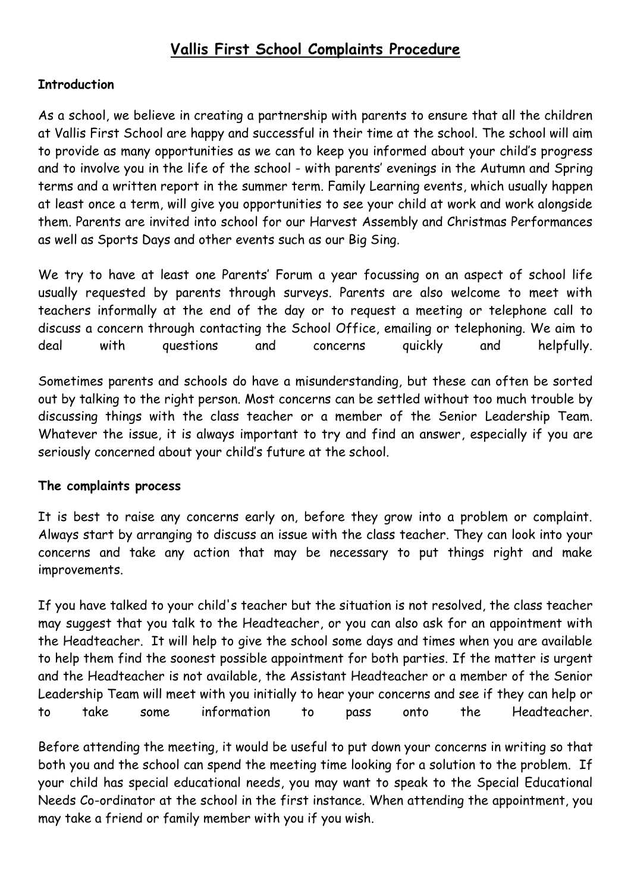## **Vallis First School Complaints Procedure**

## **Introduction**

As a school, we believe in creating a partnership with parents to ensure that all the children at Vallis First School are happy and successful in their time at the school. The school will aim to provide as many opportunities as we can to keep you informed about your child's progress and to involve you in the life of the school - with parents' evenings in the Autumn and Spring terms and a written report in the summer term. Family Learning events, which usually happen at least once a term, will give you opportunities to see your child at work and work alongside them. Parents are invited into school for our Harvest Assembly and Christmas Performances as well as Sports Days and other events such as our Big Sing.

We try to have at least one Parents' Forum a year focussing on an aspect of school life usually requested by parents through surveys. Parents are also welcome to meet with teachers informally at the end of the day or to request a meeting or telephone call to discuss a concern through contacting the School Office, emailing or telephoning. We aim to deal with questions and concerns quickly and helpfully.

Sometimes parents and schools do have a misunderstanding, but these can often be sorted out by talking to the right person. Most concerns can be settled without too much trouble by discussing things with the class teacher or a member of the Senior Leadership Team. Whatever the issue, it is always important to try and find an answer, especially if you are seriously concerned about your child's future at the school.

## **The complaints process**

It is best to raise any concerns early on, before they grow into a problem or complaint. Always start by arranging to discuss an issue with the class teacher. They can look into your concerns and take any action that may be necessary to put things right and make improvements.

If you have talked to your child's teacher but the situation is not resolved, the class teacher may suggest that you talk to the Headteacher, or you can also ask for an appointment with the Headteacher. It will help to give the school some days and times when you are available to help them find the soonest possible appointment for both parties. If the matter is urgent and the Headteacher is not available, the Assistant Headteacher or a member of the Senior Leadership Team will meet with you initially to hear your concerns and see if they can help or to take some information to pass onto the Headteacher.

Before attending the meeting, it would be useful to put down your concerns in writing so that both you and the school can spend the meeting time looking for a solution to the problem. If your child has special educational needs, you may want to speak to the Special Educational Needs Co-ordinator at the school in the first instance. When attending the appointment, you may take a friend or family member with you if you wish.